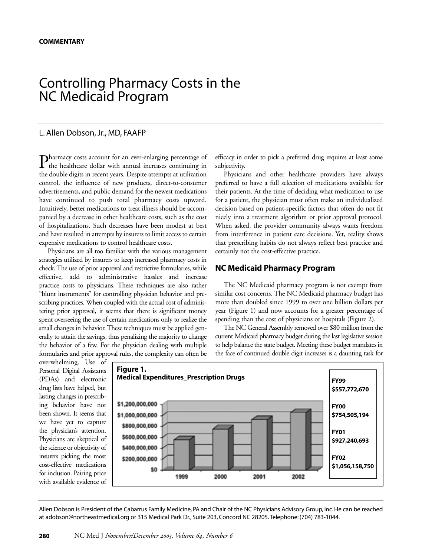# Controlling Pharmacy Costs in the NC Medicaid Program

## L. Allen Dobson, Jr., MD, FAAFP

Pharmacy costs account for an ever-enlarging percentage of the healthcare dollar with annual increases continuing in the double digits in recent years. Despite attempts at utilization control, the influence of new products, direct-to-consumer advertisements, and public demand for the newest medications have continued to push total pharmacy costs upward. Intuitively, better medications to treat illness should be accompanied by a decrease in other healthcare costs, such as the cost of hospitalizations. Such decreases have been modest at best and have resulted in attempts by insurers to limit access to certain expensive medications to control healthcare costs.

Physicians are all too familiar with the various management strategies utilized by insurers to keep increased pharmacy costs in check. The use of prior approval and restrictive formularies, while effective, add to administrative hassles and increase practice costs to physicians. These techniques are also rather "blunt instruments" for controlling physician behavior and prescribing practices. When coupled with the actual cost of administering prior approval, it seems that there is significant money spent overseeing the use of certain medications only to realize the small changes in behavior. These techniques must be applied generally to attain the savings, thus penalizing the majority to change the behavior of a few. For the physician dealing with multiple formularies and prior approval rules, the complexity can often be

efficacy in order to pick a preferred drug requires at least some subjectivity.

Physicians and other healthcare providers have always preferred to have a full selection of medications available for their patients. At the time of deciding what medication to use for a patient, the physician must often make an individualized decision based on patient-specific factors that often do not fit nicely into a treatment algorithm or prior approval protocol. When asked, the provider community always wants freedom from interference in patient care decisions. Yet, reality shows that prescribing habits do not always reflect best practice and certainly not the cost-effective practice.

### **NC Medicaid Pharmacy Program**

The NC Medicaid pharmacy program is not exempt from similar cost concerns. The NC Medicaid pharmacy budget has more than doubled since 1999 to over one billion dollars per year (Figure 1) and now accounts for a greater percentage of spending than the cost of physicians or hospitals (Figure 2).

The NC General Assembly removed over \$80 million from the current Medicaid pharmacy budget during the last legislative session to help balance the state budget. Meeting these budget mandates in the face of continued double digit increases is a daunting task for

overwhelming. Use of Personal Digital Assistants (PDAs) and electronic drug lists have helped, but lasting changes in prescribing behavior have not been shown. It seems that we have yet to capture the physician's attention. Physicians are skeptical of the science or objectivity of insurers picking the most cost-effective medications for inclusion. Pairing price with available evidence of



Allen Dobson is President of the Cabarrus Family Medicine, PA and Chair of the NC Physicians Advisory Group, Inc. He can be reached at adobson@northeastmedical.org or 315 Medical Park Dr., Suite 203, Concord NC 28205.Telephone: (704) 783-1044.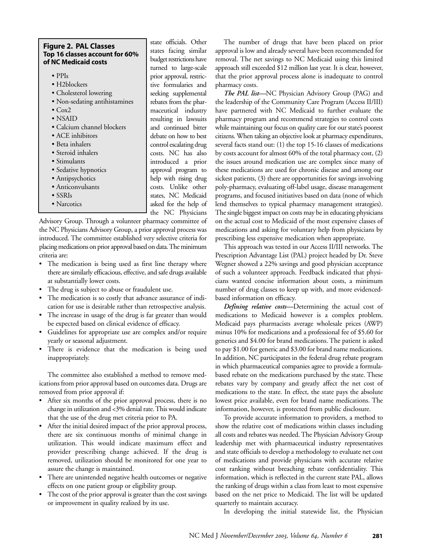#### **Figure 2. PAL Classes Top 16 classes account for 60% of NC Medicaid costs**

- PPIs
- H2blockers
- Cholesterol lowering
- Non-sedating antihistamines
- Cox2
- NSAID
- Calcium channel blockers
- ACE inhibitors
- Beta inhalers
- Steroid inhalers
- Stimulants
- Sedative hypnotics
- Antipsychotics
- Anticonvulsants
- SSRIs
- Narcotics

state officials. Other states facing similar budget restrictions have turned to large-scale prior approval, restrictive formularies and seeking supplemental rebates from the pharmaceutical industry resulting in lawsuits and continued bitter debate on how to best control escalating drug costs. NC has also introduced a prior approval program to help with rising drug costs. Unlike other states, NC Medicaid asked for the help of the NC Physicians

Advisory Group. Through a volunteer pharmacy committee of the NC Physicians Advisory Group, a prior approval process was introduced. The committee established very selective criteria for placing medications on prior approval based on data. The minimum criteria are:

- The medication is being used as first line therapy where there are similarly efficacious, effective, and safe drugs available at substantially lower costs.
- The drug is subject to abuse or fraudulent use.
- The medication is so costly that advance assurance of indication for use is desirable rather than retrospective analysis.
- The increase in usage of the drug is far greater than would be expected based on clinical evidence of efficacy.
- Guidelines for appropriate use are complex and/or require yearly or seasonal adjustment.
- There is evidence that the medication is being used inappropriately.

The committee also established a method to remove medications from prior approval based on outcomes data. Drugs are removed from prior approval if:

- After six months of the prior approval process, there is no change in utilization and <3% denial rate. This would indicate that the use of the drug met criteria prior to PA.
- After the initial desired impact of the prior approval process, there are six continuous months of minimal change in utilization. This would indicate maximum effect and provider prescribing change achieved. If the drug is removed, utilization should be monitored for one year to assure the change is maintained.
- There are unintended negative health outcomes or negative effects on one patient group or eligibility group.
- The cost of the prior approval is greater than the cost savings or improvement in quality realized by its use.

The number of drugs that have been placed on prior approval is low and already several have been recommended for removal. The net savings to NC Medicaid using this limited approach still exceeded \$12 million last year. It is clear, however, that the prior approval process alone is inadequate to control pharmacy costs.

*The PAL list—*NC Physician Advisory Group (PAG) and the leadership of the Community Care Program (Access II/III) have partnered with NC Medicaid to further evaluate the pharmacy program and recommend strategies to control costs while maintaining our focus on quality care for our state's poorest citizens. When taking an objective look at pharmacy expenditures, several facts stand out: (1) the top 15-16 classes of medications by costs account for almost 60% of the total pharmacy cost, (2) the issues around medication use are complex since many of these medications are used for chronic disease and among our sickest patients, (3) there are opportunities for savings involving poly-pharmacy, evaluating off-label usage, disease management programs, and focused initiatives based on data (none of which lend themselves to typical pharmacy management strategies). The single biggest impact on costs may be in educating physicians on the actual cost to Medicaid of the most expensive classes of medications and asking for voluntary help from physicians by prescribing less expensive medication when appropriate.

This approach was tested in our Access II/III networks. The Prescription Advantage List (PAL) project headed by Dr. Steve Wegner showed a 22% savings and good physician acceptance of such a volunteer approach. Feedback indicated that physicians wanted concise information about costs, a minimum number of drug classes to keep up with, and more evidencedbased information on efficacy.

*Defining relative costs—*Determining the actual cost of medications to Medicaid however is a complex problem. Medicaid pays pharmacists average wholesale prices (AWP) minus 10% for medications and a professional fee of \$5.60 for generics and \$4.00 for brand medications. The patient is asked to pay \$1.00 for generic and \$3.00 for brand name medications. In addition, NC participates in the federal drug rebate program in which pharmaceutical companies agree to provide a formulabased rebate on the medications purchased by the state. These rebates vary by company and greatly affect the net cost of medications to the state. In effect, the state pays the absolute lowest price available, even for brand name medications. The information, however, is protected from public disclosure.

To provide accurate information to providers, a method to show the relative cost of medications within classes including all costs and rebates was needed. The Physician Advisory Group leadership met with pharmaceutical industry representatives and state officials to develop a methodology to evaluate net cost of medications and provide physicians with accurate relative cost ranking without breaching rebate confidentiality. This information, which is reflected in the current state PAL, allows the ranking of drugs within a class from least to most expensive based on the net price to Medicaid. The list will be updated quarterly to maintain accuracy.

In developing the initial statewide list, the Physician